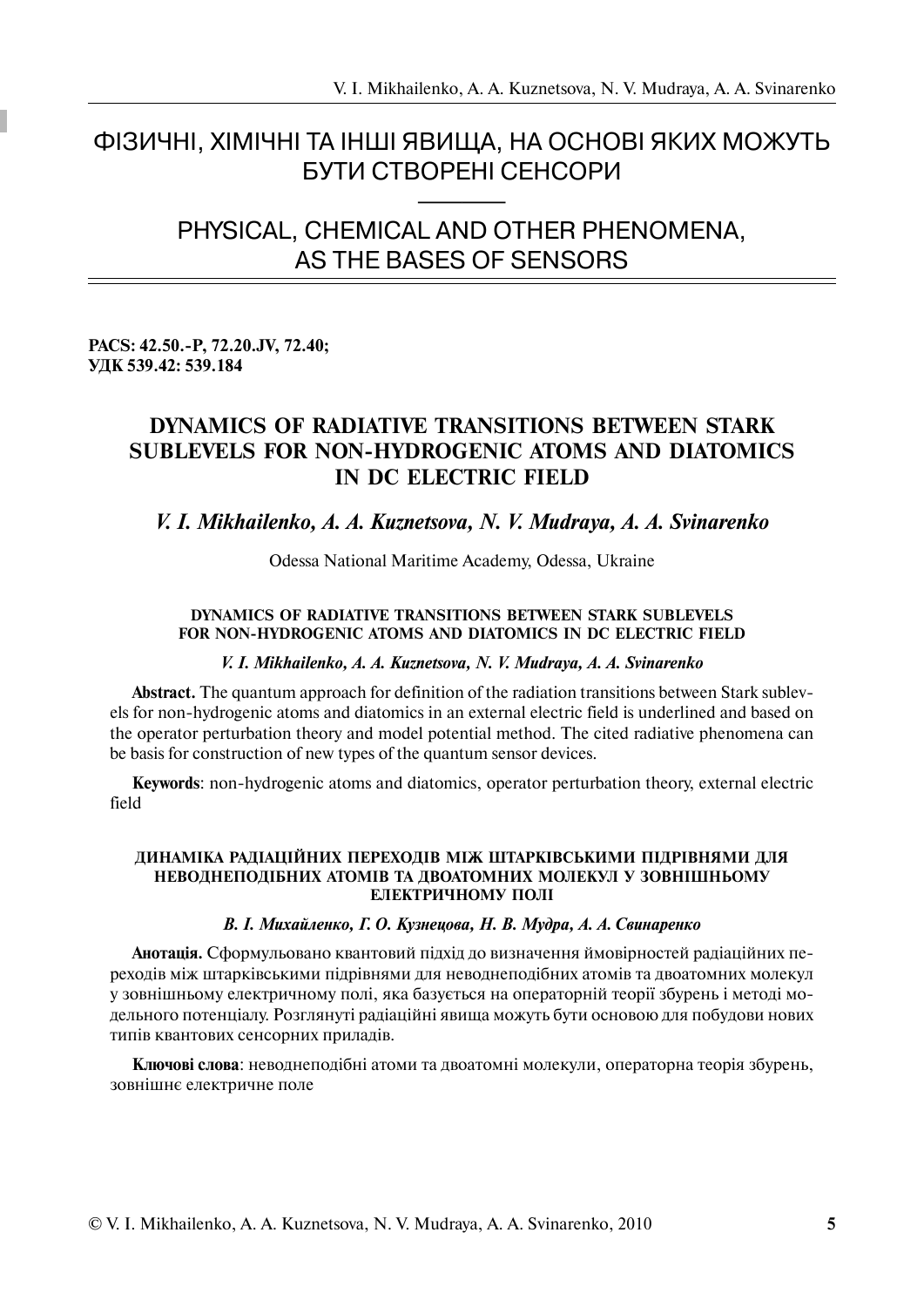## ФІЗИЧНІ, ХІМІЧНІ ТА ІНШІ ЯВИЩА, НА ОСНОВІ ЯКИХ МОЖУТЬ **БУТИ СТВОРЕНІ СЕНСОРИ**

# PHYSICAL, CHEMICAL AND OTHER PHENOMENA. AS THE BASES OF SENSORS

## PACS: 42.50.-P, 72.20.JV, 72.40; УДК 539.42: 539.184

## **DYNAMICS OF RADIATIVE TRANSITIONS BETWEEN STARK SUBLEVELS FOR NON-HYDROGENIC ATOMS AND DIATOMICS** IN DC ELECTRIC FIELD

## V. I. Mikhailenko, A. A. Kuznetsova, N. V. Mudrava, A. A. Svinarenko

Odessa National Maritime Academy, Odessa, Ukraine

## DYNAMICS OF RADIATIVE TRANSITIONS BETWEEN STARK SUBLEVELS FOR NON-HYDROGENIC ATOMS AND DIATOMICS IN DC ELECTRIC FIELD

## V. I. Mikhailenko, A. A. Kuznetsova, N. V. Mudraya, A. A. Svinarenko

**Abstract.** The quantum approach for definition of the radiation transitions between Stark sublevels for non-hydrogenic atoms and diatomics in an external electric field is underlined and based on the operator perturbation theory and model potential method. The cited radiative phenomena can be basis for construction of new types of the quantum sensor devices.

**Keywords:** non-hydrogenic atoms and diatomics, operator perturbation theory, external electric field

## ДИНАМІКА РАДІАЦІЙНИХ ПЕРЕХОДІВ МІЖ ШТАРКІВСЬКИМИ ПІДРІВНЯМИ ДЛЯ НЕВОДНЕПОДІБНИХ АТОМІВ ТА ДВОАТОМНИХ МОЛЕКУЛ У ЗОВНІШНЬОМУ ЕЛЕКТРИЧНОМУ ПОЛІ

## В. І. Михайленко, Г. О. Кузнецова, Н. В. Мудра, А. А. Свинаренко

Анотація. Сформульовано квантовий підхід до визначення ймовірностей радіаційних переходів між штарківськими підрівнями для неводнеподібних атомів та двоатомних молекул у зовнішньому електричному полі, яка базується на операторній теорії збурень і методі модельного потенціалу. Розглянуті радіаційні явища можуть бути основою для побудови нових типів квантових сенсорних приладів.

Ключові слова: неводнеподібні атоми та двоатомні молекули, операторна теорія збурень, зовнішнє електричне поле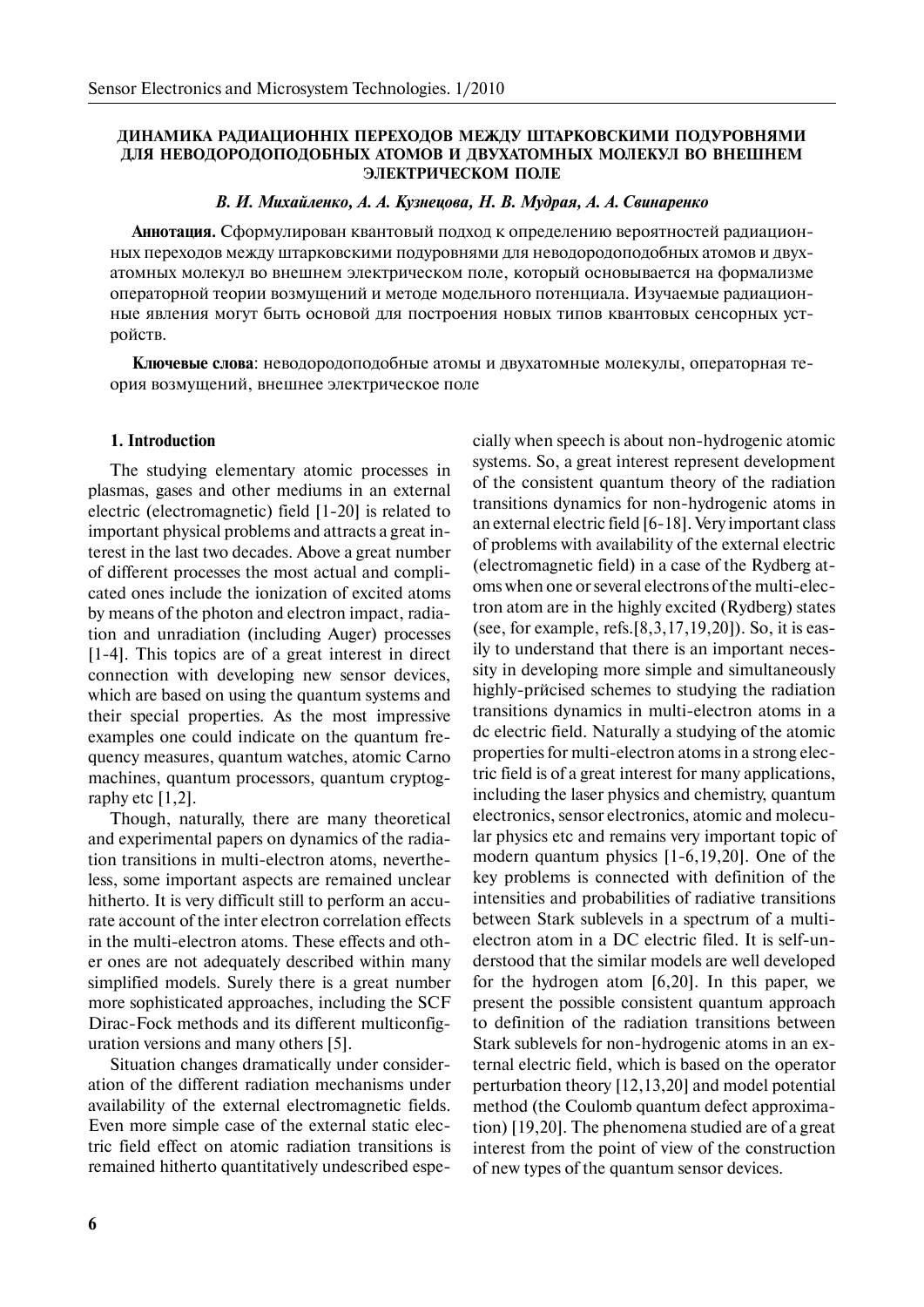#### ДИНАМИКА РАДИАЦИОННІХ ПЕРЕХОДОВ МЕЖДУ ШТАРКОВСКИМИ ПОДУРОВНЯМИ ДЛЯ НЕВОДОРОДОПОДОБНЫХ АТОМОВ И ДВУХАТОМНЫХ МОЛЕКУЛ ВО ВНЕШНЕМ ЭЛЕКТРИЧЕСКОМ ПОЛЕ

#### В. И. Михайленко, А. А. Кузнецова, Н. В. Мудрая, А. А. Свинаренко

Аннотация. Сформулирован квантовый подход к определению вероятностей радиационных переходов между штарковскими подуровнями для неводородоподобных атомов и двухатомных молекул во внешнем электрическом поле, который основывается на формализме операторной теории возмущений и методе модельного потенциала. Изучаемые радиационные явления могут быть основой для построения новых типов квантовых сенсорных устройств.

**Ключевые слова**: неводородоподобные атомы и двухатомные молекулы, операторная теория возмущений, внешнее электрическое поле

### **1. Introduction**

The studying elementary atomic processes in plasmas, gases and other mediums in an external electric (electromagnetic) field [1-20] is related to important physical problems and attracts a great interest in the last two decades. Above a great number of different processes the most actual and complicated ones include the ionization of excited atoms by means of the photon and electron impact, radiation and unradiation (including Auger) processes [1-4]. This topics are of a great interest in direct connection with developing new sensor devices, which are based on using the quantum systems and their special properties. As the most impressive examples one could indicate on the quantum frequency measures, quantum watches, atomic Carno machines, quantum processors, quantum cryptography etc  $[1,2]$ .

Though, naturally, there are many theoretical and experimental papers on dynamics of the radiation transitions in multi-electron atoms, nevertheless, some important aspects are remained unclear hitherto. It is very difficult still to perform an accurate account of the inter electron correlation effects in the multi-electron atoms. These effects and other ones are not adequately described within many simplified models. Surely there is a great number more sophisticated approaches, including the SCF Dirac-Fock methods and its different multiconfiguration versions and many others [5].

Situation changes dramatically under consideration of the different radiation mechanisms under availability of the external electromagnetic fields. Even more simple case of the external static electric field effect on atomic radiation transitions is remained hitherto quantitatively undescribed especially when speech is about non-hydrogenic atomic systems. So, a great interest represent development of the consistent quantum theory of the radiation transitions dynamics for non-hydrogenic atoms in an external electric field [6-18]. Very important class of problems with availability of the external electric (electromagnetic field) in a case of the Rydberg atoms when one or several electrons of the multi-electron atom are in the highly excited (Rydberg) states (see, for example, refs.[8,3,17,19,20]). So, it is easily to understand that there is an important necessity in developing more simple and simultaneously highly-pr $\check{\text{ncised}}$  schemes to studying the radiation transitions dynamics in multi-electron atoms in a dc electric field. Naturally a studying of the atomic properties for multi-electron atoms in a strong electric field is of a great interest for many applications, including the laser physics and chemistry, quantum electronics, sensor electronics, atomic and molecular physics etc and remains very important topic of modern quantum physics [1-6,19,20]. One of the key problems is connected with definition of the intensities and probabilities of radiative transitions between Stark sublevels in a spectrum of a multielectron atom in a DC electric filed. It is self-understood that the similar models are well developed for the hydrogen atom [6,20]. In this paper, we present the possible consistent quantum approach to definition of the radiation transitions between Stark sublevels for non-hydrogenic atoms in an external electric field, which is based on the operator perturbation theory [12,13,20] and model potential method (the Coulomb quantum defect approximation) [19,20]. The phenomena studied are of a great interest from the point of view of the construction of new types of the quantum sensor devices.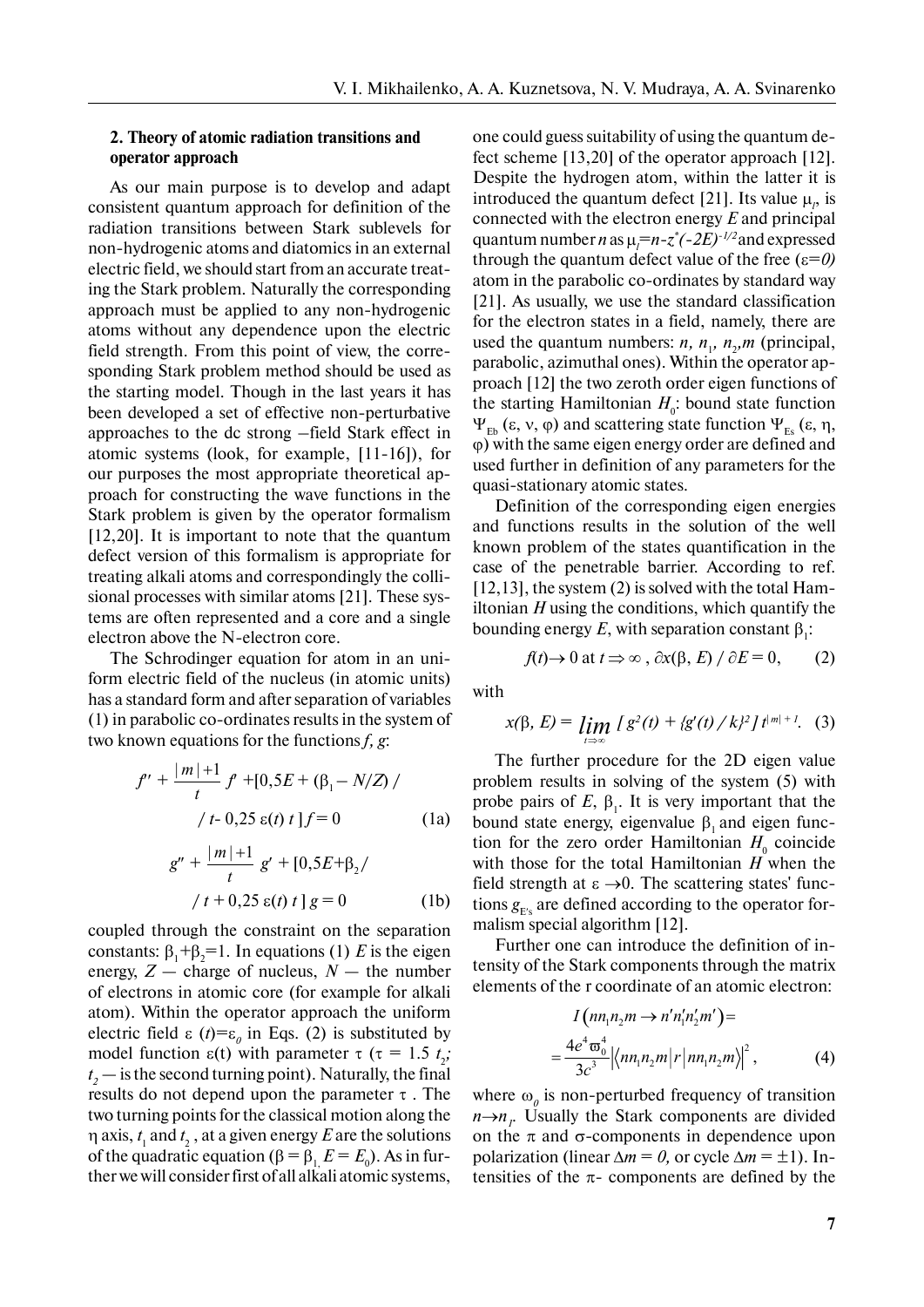### **2. Theory of atomic radiation transitions and operator approach**

As our main purpose is to develop and adapt consistent quantum approach for definition of the radiation transitions between Stark sublevels for non-hydrogenic atoms and diatomics in an external electric field, we should start from an accurate treating the Stark problem. Naturally the corresponding approach must be applied to any non-hydrogenic atoms without any dependence upon the electric field strength. From this point of view, the corresponding Stark problem method should be used as the starting model. Though in the last years it has been developed a set of effective non-perturbative approaches to the dc strong –field Stark effect in atomic systems (look, for example, [11-16]), for our purposes the most appropriate theoretical approach for constructing the wave functions in the Stark problem is given by the operator formalism [12,20]. It is important to note that the quantum defect version of this formalism is appropriate for treating alkali atoms and correspondingly the collisional processes with similar atoms [21]. These systems are often represented and a core and a single electron above the N-electron core.

The Schrodinger equation for atom in an uniform electric field of the nucleus (in atomic units) has a standard form and after separation of variables (1) in parabolic co-ordinates results in the system of two known equations for the functions *f, g*:

$$
f'' + \frac{|m|+1}{t} f' + [0, 5E + (\beta_1 - N/Z) /
$$
  

$$
/t - 0, 25 \varepsilon(t) t] f = 0
$$
 (1a)

$$
g'' + \frac{|m|+1}{t} g' + [0, 5E + \beta_2 /
$$
  

$$
/t + 0, 25 \varepsilon(t) t] g = 0
$$
 (1b)

coupled through the constraint on the separation constants:  $\beta_1 + \beta_2 = 1$ . In equations (1) *E* is the eigen energy,  $Z$  — charge of nucleus,  $N$  — the number of electrons in atomic core (for example for alkali atom). Within the operator approach the uniform electric field  $\varepsilon$  (*t*)= $\varepsilon$ <sub>*0*</sub> in Eqs. (2) is substituted by model function  $\varepsilon(t)$  with parameter  $\tau$  ( $\tau = 1.5$   $t_2$ ;  $t_2$  — is the second turning point). Naturally, the final results do not depend upon the parameter  $\tau$ . The two turning points for the classical motion along the  $\eta$  axis,  $t_1$  and  $t_2$ , at a given energy  $E$  are the solutions of the quadratic equation (β =  $β_1$ ,  $E = E_0$ ). As in further we will consider first of all alkali atomic systems,

one could guess suitability of using the quantum defect scheme [13,20] of the operator approach [12]. Despite the hydrogen atom, within the latter it is introduced the quantum defect [21]. Its value  $\mu$ <sub>*p*</sub> is connected with the electron energy *E* and principal quantum number *n* as  $\mu_l = n-z^*(-2E)^{-1/2}$  and expressed through the quantum defect value of the free  $(\epsilon=0)$ atom in the parabolic co-ordinates by standard way [21]. As usually, we use the standard classification for the electron states in a field, namely, there are used the quantum numbers:  $n, n_1, n_2, m$  (principal, parabolic, azimuthal ones). Within the operator approach [12] the two zeroth order eigen functions of the starting Hamiltonian  $H_0$ : bound state function  $\Psi_{F_{\rm b}}(\varepsilon, \nu, \varphi)$  and scattering state function  $\Psi_{F_{\rm s}}(\varepsilon, \eta, \varphi)$ ϕ) with the same eigen energy order are defined and used further in definition of any parameters for the quasi-stationary atomic states.

Definition of the corresponding eigen energies and functions results in the solution of the well known problem of the states quantification in the case of the penetrable barrier. According to ref. [12,13], the system (2) is solved with the total Hamiltonian *H* using the conditions, which quantify the bounding energy E, with separation constant  $\beta_1$ :

$$
f(t) \to 0
$$
 at  $t \implies \infty$ ,  $\partial x(\beta, E) / \partial E = 0$ , (2)

with

$$
x(\beta, E) = \lim_{t \to \infty} \int g^{2}(t) + \left\{ g'(t) / k \right\}^{2} \int t^{|m|+1} . \quad (3)
$$

The further procedure for the 2D eigen value problem results in solving of the system (5) with probe pairs of  $E$ ,  $\beta$ <sub>1</sub>. It is very important that the bound state energy, eigenvalue  $β_1$  and eigen function for the zero order Hamiltonian  $H_0$  coincide with those for the total Hamiltonian *H* when the field strength at  $\varepsilon \rightarrow 0$ . The scattering states' functions  $g_{E's}$  are defined according to the operator formalism special algorithm [12].

Further one can introduce the definition of intensity of the Stark components through the matrix elements of the r coordinate of an atomic electron:

$$
I\left(nn_1n_2m \to n'n'_1n'_2m'\right) =
$$
  
= 
$$
\frac{4e^4\varpi_0^4}{3c^3} \left| \left\langle nn_1n_2m \middle| r \middle| nn_1n_2m \right\rangle \right|^2,
$$
 (4)

where  $\omega_{\rho}$  is non-perturbed frequency of transition  $n \rightarrow n_i$ . Usually the Stark components are divided on the  $\pi$  and  $\sigma$ -components in dependence upon polarization (linear  $\Delta m = 0$ , or cycle  $\Delta m = \pm 1$ ). Intensities of the  $\pi$ - components are defined by the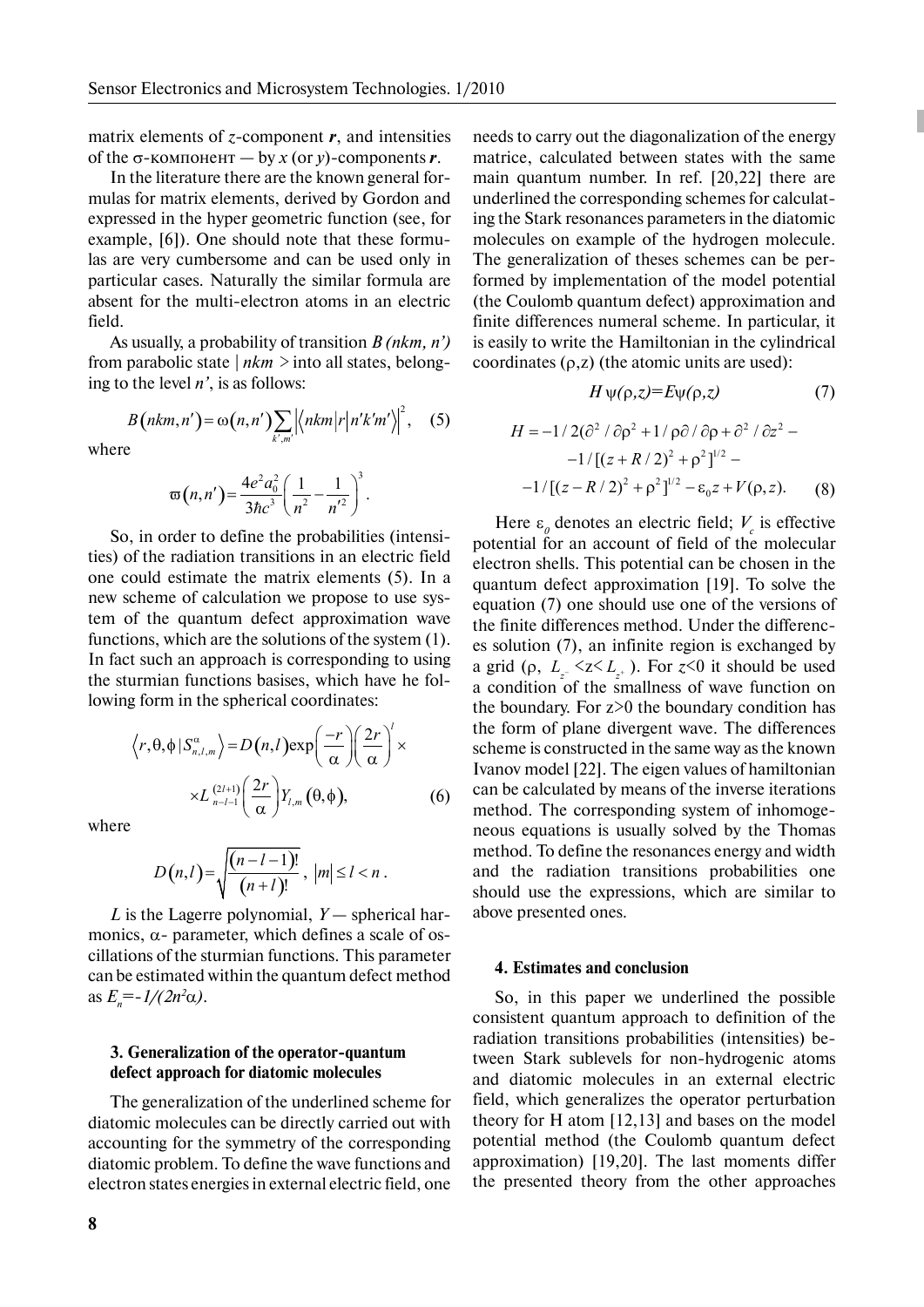matrix elements of *z-*component *r*, and intensities of the  $\sigma$ -компонент — by *x* (or *y*)-components *r*.

In the literature there are the known general formulas for matrix elements, derived by Gordon and expressed in the hyper geometric function (see, for example, [6]). One should note that these formulas are very cumbersome and can be used only in particular cases. Naturally the similar formula are absent for the multi-electron atoms in an electric field.

As usually, a probability of transition *B* (*nkm*, *n'*) from parabolic state *| nkm >* into all states, belonging to the level *n'*, is as follows:

> $(nkm, n') = \omega(n, n') \sum |\langle nkm | r | n'k'm' \rangle|^2$ ,  $(n, n') = \omega(n, n') \sum |\langle nkm | r | n'km' \rangle |^2$ *k m*  $B(nkm, n') = \omega(n, n') \sum |\langle nkm|r|n'k'm$

 $\mathcal{L}'$  =  $\omega(n,n')\sum_{k',m'}\left|\left\langle nkm\right|r\right|n'k'm'\right|^2$ , (5)

where

$$
\varpi(n,n') = \frac{4e^2a_0^2}{3\hbar c^3} \left(\frac{1}{n^2} - \frac{1}{n'^2}\right)^3.
$$

So, in order to define the probabilities (intensities) of the radiation transitions in an electric field one could estimate the matrix elements (5). In a new scheme of calculation we propose to use system of the quantum defect approximation wave functions, which are the solutions of the system (1). In fact such an approach is corresponding to using the sturmian functions basises, which have he following form in the spherical coordinates:

$$
\langle r, \theta, \phi | S_{n,l,m}^{\alpha} \rangle = D(n,l) \exp\left(\frac{-r}{\alpha}\right) \left(\frac{2r}{\alpha}\right)^{l} \times
$$

$$
\times L_{n-l-1}^{(2l+1)} \left(\frac{2r}{\alpha}\right) Y_{l,m}(\theta, \phi), \tag{6}
$$

where

$$
D(n,l) = \sqrt{\frac{(n-l-1)!}{(n+l)!}}, \, |m| \le l < n \, .
$$

*L* is the Lagerre polynomial, *Y* — spherical harmonics,  $\alpha$ - parameter, which defines a scale of oscillations of the sturmian functions. This parameter can be estimated within the quantum defect method  $\int_{0}^{\infty} e^{-t} \frac{1}{2n^2 \alpha}$ .

### **3. Generalization of the operator-quantum defect approach for diatomic molecules**

The generalization of the underlined scheme for diatomic molecules can be directly carried out with accounting for the symmetry of the corresponding diatomic problem. To define the wave functions and electron states energies in external electric field, one

needs to carry out the diagonalization of the energy matrice, calculated between states with the same main quantum number. In ref. [20,22] there are underlined the corresponding schemes for calculating the Stark resonances parameters in the diatomic molecules on example of the hydrogen molecule. The generalization of theses schemes can be performed by implementation of the model potential (the Coulomb quantum defect) approximation and finite differences numeral scheme. In particular, it is easily to write the Hamiltonian in the cylindrical coordinates  $(\rho, z)$  (the atomic units are used):

$$
H \psi(\rho, z) = E \psi(\rho, z) \tag{7}
$$

$$
H = -1/2(\partial^2/\partial \rho^2 + 1/\rho \partial/\partial \rho + \partial^2/\partial z^2 -
$$
  
-1/[(z + R/2)<sup>2</sup> + \rho<sup>2</sup>]<sup>1/2</sup> -  
-1/[(z - R/2)<sup>2</sup> + \rho<sup>2</sup>]<sup>1/2</sup> - \varepsilon\_0 z + V(\rho, z). (8)

Here  $\varepsilon_o$  denotes an electric field;  $V_c$  is effective potential for an account of field of the molecular electron shells. This potential can be chosen in the quantum defect approximation [19]. To solve the equation (7) one should use one of the versions of the finite differences method. Under the differences solution (7), an infinite region is exchanged by a grid ( $\rho$ ,  $L_z \leq z \leq L_z$ ). For  $z \leq 0$  it should be used a condition of the smallness of wave function on the boundary. For  $z>0$  the boundary condition has the form of plane divergent wave. The differences scheme is constructed in the same way as the known Ivanov model [22]. The eigen values of hamiltonian can be calculated by means of the inverse iterations method. The corresponding system of inhomogeneous equations is usually solved by the Thomas method. To define the resonances energy and width and the radiation transitions probabilities one should use the expressions, which are similar to above presented ones.

#### **4. Estimates and conclusion**

So, in this paper we underlined the possible consistent quantum approach to definition of the radiation transitions probabilities (intensities) between Stark sublevels for non-hydrogenic atoms and diatomic molecules in an external electric field, which generalizes the operator perturbation theory for H atom [12,13] and bases on the model potential method (the Coulomb quantum defect approximation) [19,20]. The last moments differ the presented theory from the other approaches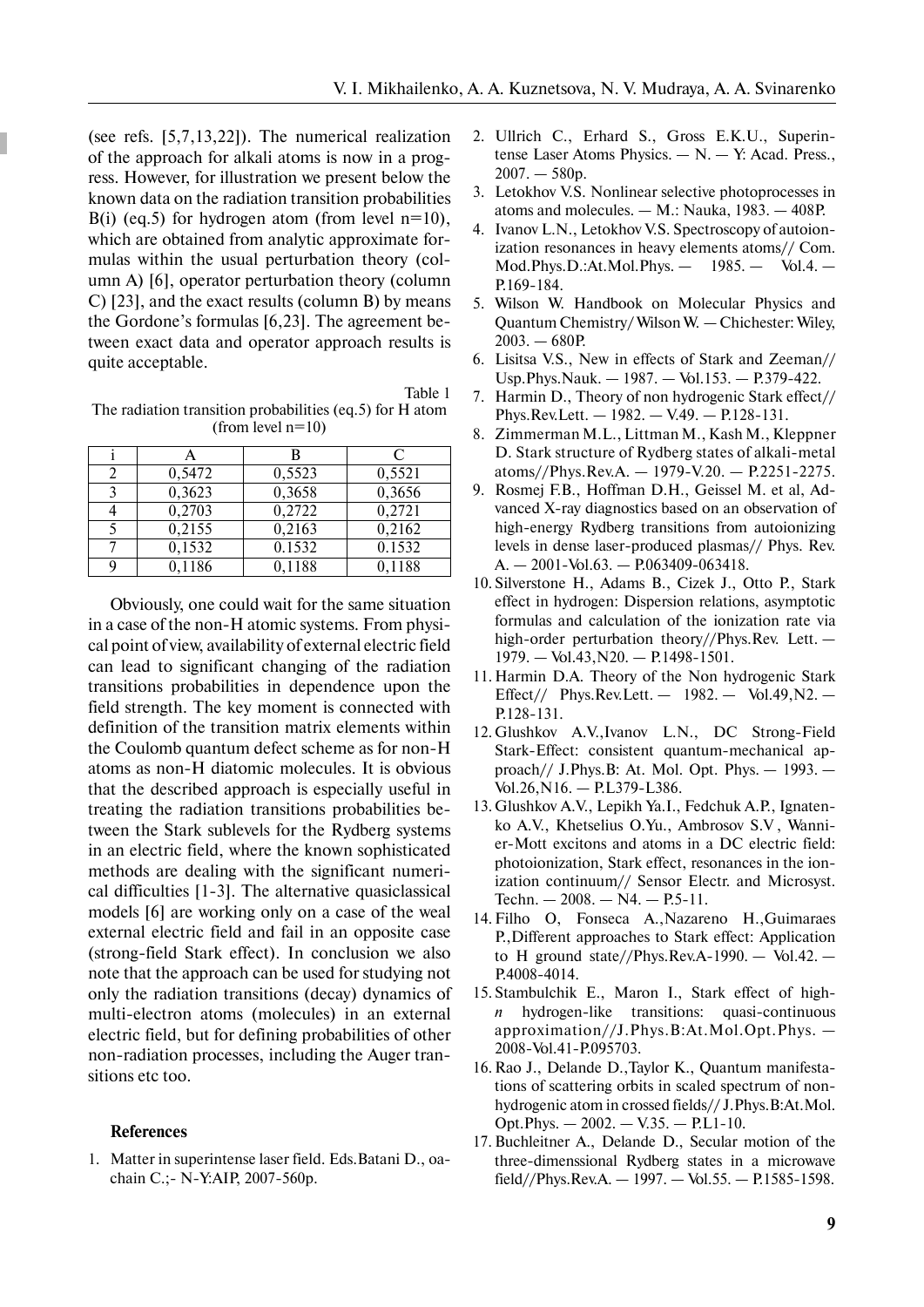(see refs. [5,7,13,22]). The numerical realization of the approach for alkali atoms is now in a progress. However, for illustration we present below the known data on the radiation transition probabilities B(i) (eq.5) for hydrogen atom (from level  $n=10$ ), which are obtained from analytic approximate formulas within the usual perturbation theory (column A) [6], operator perturbation theory (column C) [23], and the exact results (column B) by means the Gordone's formulas [6,23]. The agreement between exact data and operator approach results is quite acceptable.

Table 1 The radiation transition probabilities (eq.5) for H atom (from level  $n=10$ )

|                   |        | В      | C      |
|-------------------|--------|--------|--------|
|                   | 0,5472 | 0,5523 | 0,5521 |
| $\mathbf{\Omega}$ | 0,3623 | 0,3658 | 0,3656 |
|                   | 0,2703 | 0,2722 | 0,2721 |
|                   | 0,2155 | 0,2163 | 0,2162 |
|                   | 0,1532 | 0.1532 | 0.1532 |
|                   | 0,1186 | 0,1188 | 0,1188 |

Obviously, one could wait for the same situation in a case of the non-H atomic systems. From physical point of view, availability of external electric field can lead to significant changing of the radiation transitions probabilities in dependence upon the field strength. The key moment is connected with definition of the transition matrix elements within the Coulomb quantum defect scheme as for non-H atoms as non-H diatomic molecules. It is obvious that the described approach is especially useful in treating the radiation transitions probabilities between the Stark sublevels for the Rydberg systems in an electric field, where the known sophisticated methods are dealing with the significant numerical difficulties [1-3]. The alternative quasiclassical models [6] are working only on a case of the weal external electric field and fail in an opposite case (strong-field Stark effect). In conclusion we also note that the approach can be used for studying not only the radiation transitions (decay) dynamics of multi-electron atoms (molecules) in an external electric field, but for defining probabilities of other non-radiation processes, including the Auger transitions etc too.

#### **References**

1. Matter in superintense laser field. Eds.Batani D., oachain C.;- N-Y:AIP, 2007-560p.

- 2. Ullrich C., Erhard S., Gross E.K.U., Superintense Laser Atoms Physics. — N. — Y: Acad. Press.,  $2007. - 580p.$
- 3. Letokhov V.S. Nonlinear selective photoprocesses in atoms and molecules.  $-$  M.: Nauka, 1983.  $-$  408P.
- 4. Ivanov L.N., Letokhov V.S. Spectroscopy of autoionization resonances in heavy elements atoms// Com. Mod.Phys.D.:At.Mol.Phys. — 1985. — Vol.4. — P.169-184.
- 5. Wilson W. Handbook on Molecular Physics and Quantum Chemistry/ Wilson W. — Chichester: Wiley,  $2003. - 680P$
- 6. Lisitsa V.S., New in effects of Stark and Zeeman// Usp.Phys.Nauk. — 1987. — Vol.153. — P.379-422.
- 7. Harmin D., Theory of non hydrogenic Stark effect// Phys.Rev.Lett. — 1982. — V.49. — P.128-131.
- 8. Zimmerman M.L., Littman M., Kash M., Kleppner D. Stark structure of Rydberg states of alkali-metal atoms//Phys.Rev.A. — 1979-V.20. — P.2251-2275.
- 9. Rosmej F.B., Hoffman D.H., Geissel M. et al, Advanced X-ray diagnostics based on an observation of high-energy Rydberg transitions from autoionizing levels in dense laser-produced plasmas// Phys. Rev. A. — 2001-Vol.63. — P.063409-063418.
- 10. Silverstone H., Adams B., Cizek J., Otto P., Stark effect in hydrogen: Dispersion relations, asymptotic formulas and calculation of the ionization rate via high-order perturbation theory//Phys.Rev. Lett. — 1979. — Vol.43,N20. — P.1498-1501.
- 11. Harmin D.A. Theory of the Non hydrogenic Stark Effect// Phys.Rev.Lett. — 1982. — Vol.49,N2. — P.128-131.
- 12. Glushkov A.V.,Ivanov L.N., DC Strong-Field Stark-Effect: consistent quantum-mechanical approach// J.Phys.B: At. Mol. Opt. Phys. — 1993. — Vol.26,N16. — P.L379-L386.
- 13. Glushkov A.V., Lepikh Ya.I., Fedchuk A.P., Ignatenko A.V., Khetselius O.Yu., Ambrosov S.V , Wannier-Mott excitons and atoms in a DC electric field: photoionization, Stark effect, resonances in the ionization continuum// Sensor Electr. and Microsyst. Techn.  $-2008. - N4. - P.5-11.$
- 14. Filho O, Fonseca A.,Nazareno H.,Guimaraes P.,Different approaches to Stark effect: Application to H ground state//Phys.Rev.A-1990. — Vol.42. — P.4008-4014.
- 15. Stambulchik E., Maron I., Stark effect of high*n* hydrogen-like transitions: quasi-continuous approximation//J.Phys.B:At.Mol.Opt.Phys. — 2008-Vol.41-P.095703.
- 16. Rao J., Delande D.,Taylor K., Quantum manifestations of scattering orbits in scaled spectrum of nonhydrogenic atom in crossed fields// J.Phys.B:At.Mol.  $Opt.Phvs. -2002. - V.35. - P.L1-10.$
- 17. Buchleitner A., Delande D., Secular motion of the three-dimenssional Rydberg states in a microwave field//Phys.Rev.A.  $-$  1997.  $-$  Vol.55.  $-$  P.1585-1598.